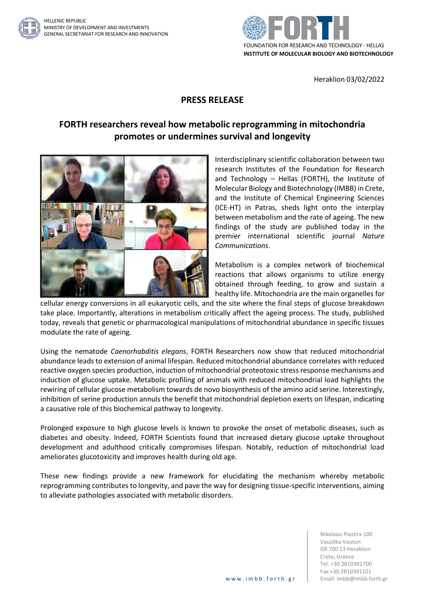



Heraklion 03/02/2022

## **PRESS RELEASE**

## **FORTH researchers reveal how metabolic reprogramming in mitochondria promotes or undermines survival and longevity**



Interdisciplinary scientific collaboration between two research Institutes of the Foundation for Research and Technology – Hellas (FORTH), the Institute of Molecular Biology and Biotechnology (IMBB) in Crete, and the Institute of Chemical Engineering Sciences (ICE-HT) in Patras, sheds light onto the interplay between metabolism and the rate of ageing. The new findings of the study are published today in the premier international scientific journal *Nature Communications*.

Metabolism is a complex network of biochemical reactions that allows organisms to utilize energy obtained through feeding, to grow and sustain a healthy life. Mitochondria are the main organelles for

cellular energy conversions in all eukaryotic cells, and the site where the final steps of glucose breakdown take place. Importantly, alterations in metabolism critically affect the ageing process. The study, published today, reveals that genetic or pharmacological manipulations of mitochondrial abundance in specific tissues modulate the rate of ageing.

Using the nematode *Caenorhabditis elegans*, FORTH Researchers now show that reduced mitochondrial abundance leads to extension of animal lifespan. Reduced mitochondrial abundance correlates with reduced reactive oxygen species production, induction of mitochondrial proteotoxic stress response mechanisms and induction of glucose uptake. Metabolic profiling of animals with reduced mitochondrial load highlights the rewiring of cellular glucose metabolism towards de novo biosynthesis of the amino acid serine. Interestingly, inhibition of serine production annuls the benefit that mitochondrial depletion exerts on lifespan, indicating a causative role of this biochemical pathway to longevity.

Prolonged exposure to high glucose levels is known to provoke the onset of metabolic diseases, such as diabetes and obesity. Indeed, FORTH Scientists found that increased dietary glucose uptake throughout development and adulthood critically compromises lifespan. Notably, reduction of mitochondrial load ameliorates glucotoxicity and improves health during old age.

These new findings provide a new framework for elucidating the mechanism whereby metabolic reprogramming contributes to longevity, and pave the way for designing tissue-specific interventions, aiming to alleviate pathologies associated with metabolic disorders.

> Nikolaou Plastira 100 Vassilika Vouton GR 700 13 Heraklion Crete, Greece Tel. +30 2810391700 Fax +30 2810391101 www.imbb.forth.gr | Email: imbb@imbb.forth.gr